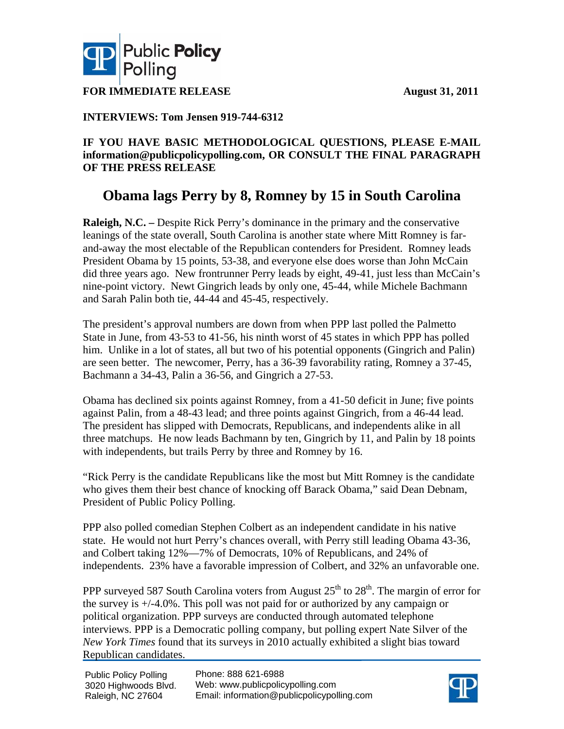

**FOR IMMEDIATE RELEASE August 31, 2011** 

### **INTERVIEWS: Tom Jensen 919-744-6312**

### **IF YOU HAVE BASIC METHODOLOGICAL QUESTIONS, PLEASE E-MAIL information@publicpolicypolling.com, OR CONSULT THE FINAL PARAGRAPH OF THE PRESS RELEASE**

## **Obama lags Perry by 8, Romney by 15 in South Carolina**

**Raleigh, N.C.** – Despite Rick Perry's dominance in the primary and the conservative leanings of the state overall, South Carolina is another state where Mitt Romney is farand-away the most electable of the Republican contenders for President. Romney leads President Obama by 15 points, 53-38, and everyone else does worse than John McCain did three years ago. New frontrunner Perry leads by eight, 49-41, just less than McCain's nine-point victory. Newt Gingrich leads by only one, 45-44, while Michele Bachmann and Sarah Palin both tie, 44-44 and 45-45, respectively.

The president's approval numbers are down from when PPP last polled the Palmetto State in June, from 43-53 to 41-56, his ninth worst of 45 states in which PPP has polled him. Unlike in a lot of states, all but two of his potential opponents (Gingrich and Palin) are seen better. The newcomer, Perry, has a 36-39 favorability rating, Romney a 37-45, Bachmann a 34-43, Palin a 36-56, and Gingrich a 27-53.

Obama has declined six points against Romney, from a 41-50 deficit in June; five points against Palin, from a 48-43 lead; and three points against Gingrich, from a 46-44 lead. The president has slipped with Democrats, Republicans, and independents alike in all three matchups. He now leads Bachmann by ten, Gingrich by 11, and Palin by 18 points with independents, but trails Perry by three and Romney by 16.

"Rick Perry is the candidate Republicans like the most but Mitt Romney is the candidate who gives them their best chance of knocking off Barack Obama," said Dean Debnam, President of Public Policy Polling.

PPP also polled comedian Stephen Colbert as an independent candidate in his native state. He would not hurt Perry's chances overall, with Perry still leading Obama 43-36, and Colbert taking 12%—7% of Democrats, 10% of Republicans, and 24% of independents. 23% have a favorable impression of Colbert, and 32% an unfavorable one.

PPP surveyed 587 South Carolina voters from August  $25<sup>th</sup>$  to  $28<sup>th</sup>$ . The margin of error for the survey is +/-4.0%. This poll was not paid for or authorized by any campaign or political organization. PPP surveys are conducted through automated telephone interviews. PPP is a Democratic polling company, but polling expert Nate Silver of the *New York Times* found that its surveys in 2010 actually exhibited a slight bias toward Republican candidates.

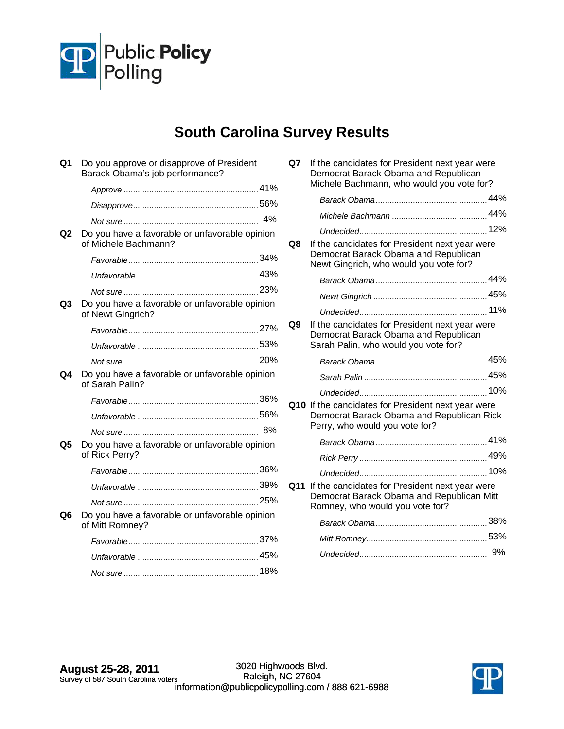

# **South Carolina Survey Results**

| Q1 | Do you approve or disapprove of President<br>Barack Obama's job performance? |    |
|----|------------------------------------------------------------------------------|----|
|    |                                                                              |    |
|    |                                                                              |    |
|    |                                                                              | 4% |
| Q2 | Do you have a favorable or unfavorable opinion<br>of Michele Bachmann?       |    |
|    |                                                                              |    |
|    |                                                                              |    |
|    |                                                                              |    |
| Q3 | Do you have a favorable or unfavorable opinion<br>of Newt Gingrich?          |    |
|    |                                                                              |    |
|    |                                                                              |    |
|    |                                                                              |    |
| Q4 | Do you have a favorable or unfavorable opinion<br>of Sarah Palin?            |    |
|    |                                                                              |    |
|    |                                                                              |    |
|    |                                                                              |    |
| Q5 | Do you have a favorable or unfavorable opinion<br>of Rick Perry?             |    |
|    |                                                                              |    |
|    |                                                                              |    |
|    |                                                                              |    |
| Q6 | Do you have a favorable or unfavorable opinion<br>of Mitt Romney?            |    |
|    |                                                                              |    |
|    |                                                                              |    |
|    |                                                                              |    |

| Q7  | If the candidates for President next year were<br>Democrat Barack Obama and Republican<br>Michele Bachmann, who would you vote for? |  |
|-----|-------------------------------------------------------------------------------------------------------------------------------------|--|
|     |                                                                                                                                     |  |
|     |                                                                                                                                     |  |
|     |                                                                                                                                     |  |
| Q8  | If the candidates for President next year were<br>Democrat Barack Obama and Republican<br>Newt Gingrich, who would you vote for?    |  |
|     |                                                                                                                                     |  |
|     |                                                                                                                                     |  |
|     |                                                                                                                                     |  |
| Q9  | If the candidates for President next year were<br>Democrat Barack Obama and Republican<br>Sarah Palin, who would you vote for?      |  |
|     |                                                                                                                                     |  |
|     |                                                                                                                                     |  |
|     |                                                                                                                                     |  |
|     | Q10 If the candidates for President next year were<br>Democrat Barack Obama and Republican Rick<br>Perry, who would you vote for?   |  |
|     |                                                                                                                                     |  |
|     |                                                                                                                                     |  |
|     |                                                                                                                                     |  |
| Q11 | If the candidates for President next year were<br>Democrat Barack Obama and Republican Mitt<br>Romney, who would you vote for?      |  |
|     |                                                                                                                                     |  |
|     |                                                                                                                                     |  |
|     |                                                                                                                                     |  |

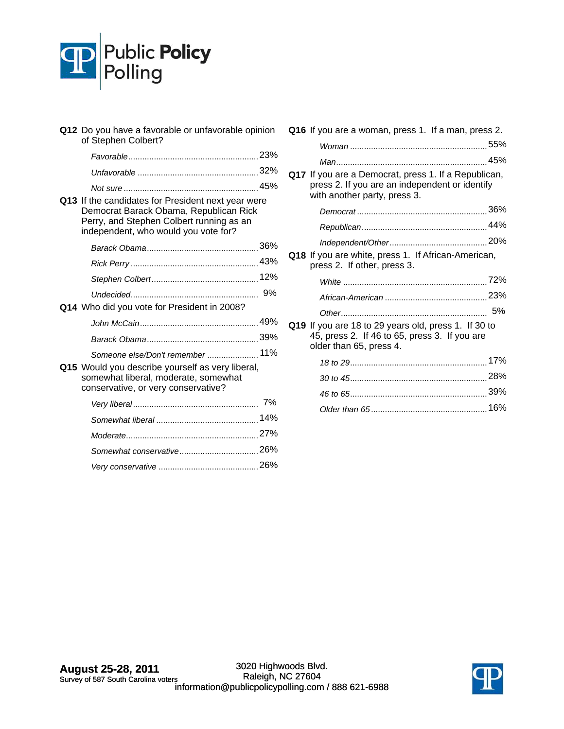

| Q12 Do you have a favorable or unfavorable opinion<br>of Stephen Colbert?                                                                                                        |  |
|----------------------------------------------------------------------------------------------------------------------------------------------------------------------------------|--|
|                                                                                                                                                                                  |  |
|                                                                                                                                                                                  |  |
|                                                                                                                                                                                  |  |
| Q13 If the candidates for President next year were<br>Democrat Barack Obama, Republican Rick<br>Perry, and Stephen Colbert running as an<br>independent, who would you vote for? |  |
|                                                                                                                                                                                  |  |
|                                                                                                                                                                                  |  |
|                                                                                                                                                                                  |  |
|                                                                                                                                                                                  |  |
| Q14 Who did you vote for President in 2008?                                                                                                                                      |  |
|                                                                                                                                                                                  |  |
|                                                                                                                                                                                  |  |
| Someone else/Don't remember  11%                                                                                                                                                 |  |
| Q15 Would you describe yourself as very liberal,<br>somewhat liberal, moderate, somewhat<br>conservative, or very conservative?                                                  |  |
|                                                                                                                                                                                  |  |
|                                                                                                                                                                                  |  |
|                                                                                                                                                                                  |  |
|                                                                                                                                                                                  |  |
|                                                                                                                                                                                  |  |

| Q16 If you are a woman, press 1. If a man, press 2.                                                                                    |
|----------------------------------------------------------------------------------------------------------------------------------------|
|                                                                                                                                        |
|                                                                                                                                        |
| Q17 If you are a Democrat, press 1. If a Republican,<br>press 2. If you are an independent or identify<br>with another party, press 3. |
|                                                                                                                                        |
|                                                                                                                                        |
|                                                                                                                                        |
| Q18 If you are white, press 1. If African-American,<br>press 2. If other, press 3.                                                     |
|                                                                                                                                        |
|                                                                                                                                        |
|                                                                                                                                        |
| Q19 If you are 18 to 29 years old, press 1. If 30 to<br>45, press 2. If 46 to 65, press 3. If you are<br>older than 65, press 4.       |
|                                                                                                                                        |
|                                                                                                                                        |
|                                                                                                                                        |
|                                                                                                                                        |
|                                                                                                                                        |

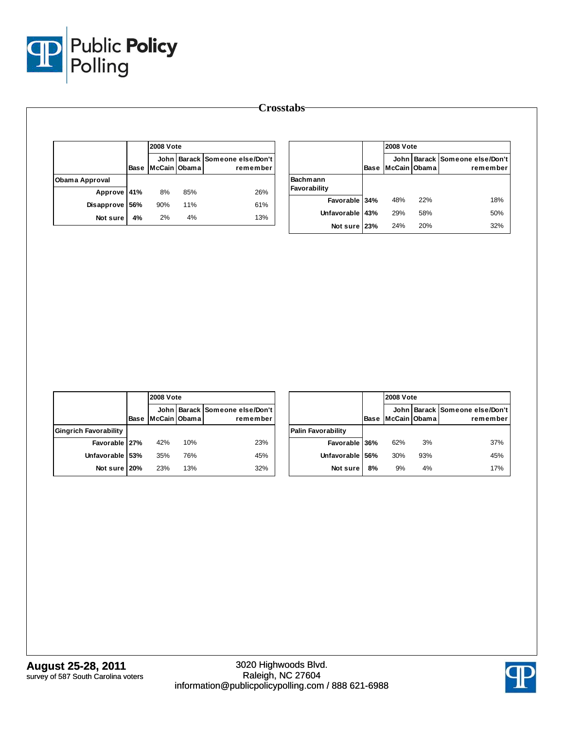

|                |             | <b>2008 Vote</b> |     |                                            |  |  |  |
|----------------|-------------|------------------|-----|--------------------------------------------|--|--|--|
|                | <b>Base</b> | McCain Obama     |     | John Barack Someone else/Don't<br>remember |  |  |  |
| Obama Approval |             |                  |     |                                            |  |  |  |
| Approve 41%    |             | 8%               | 85% | 26%                                        |  |  |  |
| Disapprove     | 56%         | 90%              | 11% | 61%                                        |  |  |  |
| Not sure       | 4%          | 2%               | 4%  | 13%                                        |  |  |  |

|                                 |             | <b>2008 Vote</b> |     |                                            |
|---------------------------------|-------------|------------------|-----|--------------------------------------------|
|                                 | <b>Base</b> | McCain Obama     |     | John Barack Someone else/Don't<br>remember |
| <b>Bachmann</b><br>Favorability |             |                  |     |                                            |
| Favorable 34%                   |             | 48%              | 22% | 18%                                        |
| Unfavorable                     | 43%         | 29%              | 58% | 50%                                        |
| Not sure 23%                    |             | 24%              | 20% | 32%                                        |

|                              |      |               | <b>2008 Vote</b> |                                            |  |  |
|------------------------------|------|---------------|------------------|--------------------------------------------|--|--|
|                              | Base | McCain IObama |                  | John Barack Someone else/Don't<br>remember |  |  |
| <b>Gingrich Favorability</b> |      |               |                  |                                            |  |  |
| Favorable   27%              |      | 42%           | 10%              | 23%                                        |  |  |
| Unfavorable 53%              |      | 35%           | 76%              | 45%                                        |  |  |
| Not sure 20%                 |      | 23%           | 13%              | 32%                                        |  |  |

|                           |             | <b>2008 Vote</b> |     |                                            |  |
|---------------------------|-------------|------------------|-----|--------------------------------------------|--|
|                           | <b>Base</b> | McCain Obama     |     | John Barack Someone else/Don't<br>remember |  |
| <b>Palin Favorability</b> |             |                  |     |                                            |  |
| Favorable 36%             |             | 62%              | 3%  | 37%                                        |  |
| Unfavorable               | 56%         | 30%              | 93% | 45%                                        |  |
| Not sure                  | 8%          | 9%               | 4%  | 17%                                        |  |

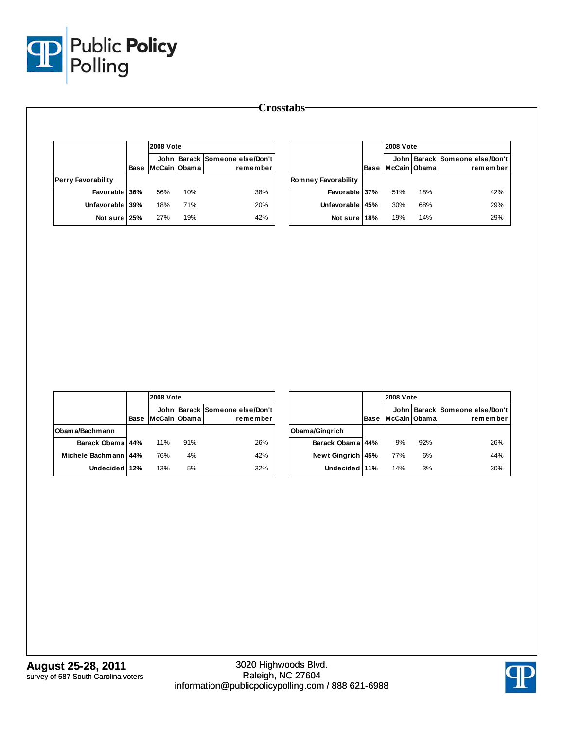

|                           |      |              | <b>2008 Vote</b> |                                            |  |              |  |
|---------------------------|------|--------------|------------------|--------------------------------------------|--|--------------|--|
|                           | Base | McCain Obama |                  | John Barack Someone else/Don't<br>remember |  |              |  |
| <b>Perry Favorability</b> |      |              |                  |                                            |  | <b>Romne</b> |  |
| Favorable 36%             |      | 56%          | 10%              | 38%                                        |  |              |  |
| Unfavorable 39%           |      | 18%          | 71%              | 20%                                        |  |              |  |
| Not sure 25%              |      | 27%          | 19%              | 42%                                        |  |              |  |

|                            |             | <b>2008 Vote</b> |     |                                            |
|----------------------------|-------------|------------------|-----|--------------------------------------------|
|                            | <b>Base</b> | McCain Obama     |     | John Barack Someone else/Don't<br>remember |
| <b>Romney Favorability</b> |             |                  |     |                                            |
| Favorable 37%              |             | 51%              | 18% | 42%                                        |
| Unfavorable                | 45%         | 30%              | 68% | 29%                                        |
| Not sure 18%               |             | 19%              | 14% | 29%                                        |

|                      |      |              | <b>2008 Vote</b> |                                            |  |  |
|----------------------|------|--------------|------------------|--------------------------------------------|--|--|
|                      | Base | McCain Obama |                  | John Barack Someone else/Don't<br>remember |  |  |
| Obama/Bachmann       |      |              |                  |                                            |  |  |
| Barack Obama 44%     |      | 11%          | 91%              | 26%                                        |  |  |
| Michele Bachmann 44% |      | 76%          | 4%               | 42%                                        |  |  |
| Undecided 12%        |      | 13%          | 5%               | 32%                                        |  |  |

|                  |      |              | <b>2008 Vote</b> |                                            |  |  |
|------------------|------|--------------|------------------|--------------------------------------------|--|--|
|                  | Base | McCain Obama |                  | John Barack Someone else/Don't<br>remember |  |  |
| Obama/Gingrich   |      |              |                  |                                            |  |  |
| Barack Obama 44% |      | 9%           | 92%              | 26%                                        |  |  |
| Newt Gingrich    | 45%  | 77%          | 6%               | 44%                                        |  |  |
| Undecided 11%    |      | 14%          | 3%               | 30%                                        |  |  |

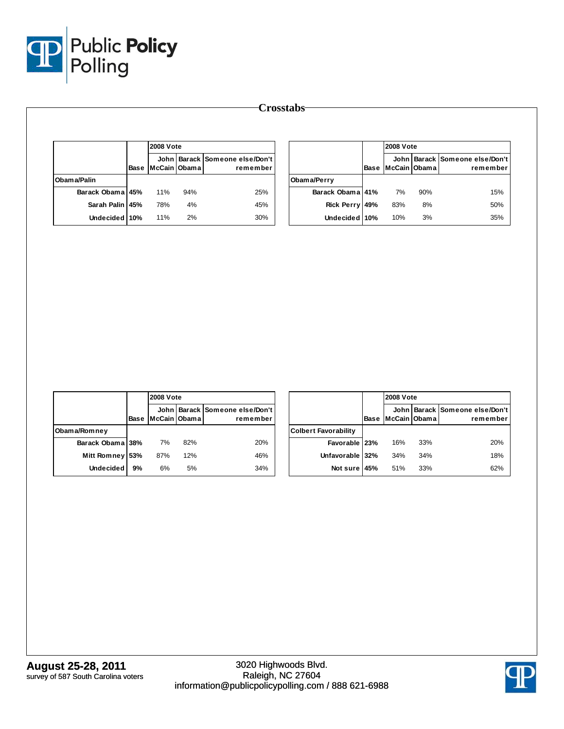

|                  |      | <b>2008 Vote</b> |     |                                            |  |  |
|------------------|------|------------------|-----|--------------------------------------------|--|--|
|                  | Base | McCain Obama     |     | John Barack Someone else/Don't<br>remember |  |  |
| Obama/Palin      |      |                  |     |                                            |  |  |
| Barack Obama 45% |      | 11%              | 94% | 25%                                        |  |  |
| Sarah Palin 45%  |      | 78%              | 4%  | 45%                                        |  |  |
| Undecided 10%    |      | 11%              | 2%  | 30%                                        |  |  |

|                   |      | <b>2008 Vote</b> |     |                                            |  |  |
|-------------------|------|------------------|-----|--------------------------------------------|--|--|
|                   | Base | McCain Obama     |     | John Barack Someone else/Don't<br>remember |  |  |
| Obama/Perry       |      |                  |     |                                            |  |  |
| Barack Obama 41%  |      | 7%               | 90% | 15%                                        |  |  |
| <b>Rick Perry</b> | 49%  | 83%              | 8%  | 50%                                        |  |  |
| Undecided 10%     |      | 10%              | 3%  | 35%                                        |  |  |

|                    |      |              | <b>2008 Vote</b> |                                            |  |  |  |
|--------------------|------|--------------|------------------|--------------------------------------------|--|--|--|
|                    | Base | McCain Obama |                  | John Barack Someone else/Don't<br>remember |  |  |  |
| Obama/Romney       |      |              |                  |                                            |  |  |  |
| Barack Obama 38%   |      | 7%           | 82%              | 20%                                        |  |  |  |
| <b>Mitt Romney</b> | 53%  | 87%          | 12%              | 46%                                        |  |  |  |
| <b>Undecided</b>   | 9%   | 6%           | 5%               | 34%                                        |  |  |  |

|                             |      |              | <b>2008 Vote</b> |                                            |  |  |  |
|-----------------------------|------|--------------|------------------|--------------------------------------------|--|--|--|
|                             | Base | McCain Obama |                  | John Barack Someone else/Don't<br>remember |  |  |  |
| <b>Colbert Favorability</b> |      |              |                  |                                            |  |  |  |
| Favorable 23%               |      | 16%          | 33%              | 20%                                        |  |  |  |
| Unfavorable 32%             |      | 34%          | 34%              | 18%                                        |  |  |  |
| Not sure 45%                |      | 51%          | 33%              | 62%                                        |  |  |  |

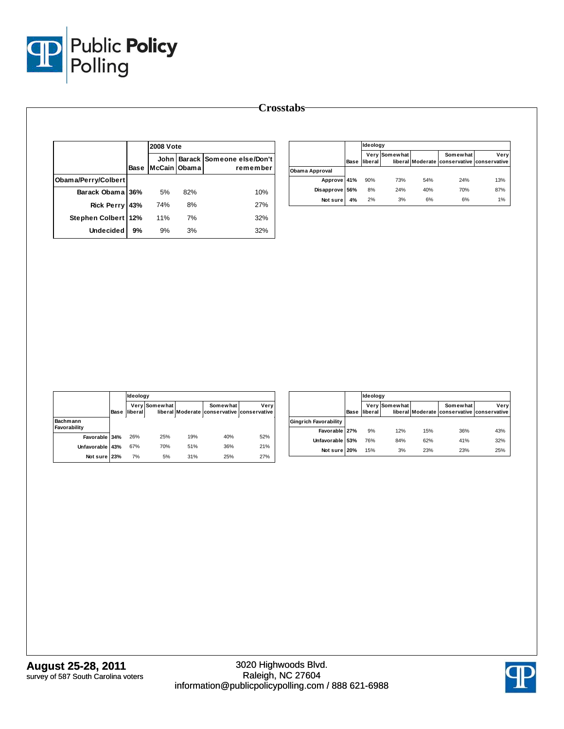

|                     |      | <b>2008 Vote</b> |     |                                            |  |  |
|---------------------|------|------------------|-----|--------------------------------------------|--|--|
|                     | Base | McCain Obama     |     | John Barack Someone else/Don't<br>remember |  |  |
| Obama/Perry/Colbert |      |                  |     |                                            |  |  |
| Barack Obama        | 36%  | 5%               | 82% | 10%                                        |  |  |
| <b>Rick Perry</b>   | 43%  | 74%              | 8%  | 27%                                        |  |  |
| Stephen Colbert 12% |      | 11%              | 7%  | 32%                                        |  |  |
| <b>Undecided</b>    | 9%   | 9%               | 3%  | 32%                                        |  |  |

|                |      | Ideology |               |     |                                                        |      |  |  |
|----------------|------|----------|---------------|-----|--------------------------------------------------------|------|--|--|
|                | Base | liberal  | Very Somewhat |     | Somewhat<br>liberal Moderate conservative conservative | Verv |  |  |
| Obama Approval |      |          |               |     |                                                        |      |  |  |
| Approve 41%    |      | 90%      | 73%           | 54% | 24%                                                    | 13%  |  |  |
| Disapprove 56% |      | 8%       | 24%           | 40% | 70%                                                    | 87%  |  |  |
| Not sure       | 4%   | 2%       | 3%            | 6%  | 6%                                                     | 1%   |  |  |

|                          |      | Ideology |               |                  |                                       |      |  |  |
|--------------------------|------|----------|---------------|------------------|---------------------------------------|------|--|--|
|                          | Base | liberal  | Very Somewhat | liberal Moderate | Somewhat<br>conservative conservative | Very |  |  |
| Bachmann<br>Favorability |      |          |               |                  |                                       |      |  |  |
| Favorable 34%            |      | 26%      | 25%           | 19%              | 40%                                   | 52%  |  |  |
| Unfavorable 43%          |      | 67%      | 70%           | 51%              | 36%                                   | 21%  |  |  |
| Not sure 23%             |      | 7%       | 5%            | 31%              | 25%                                   | 27%  |  |  |

|                              |      | Ideology |               |     |                                                        |      |  |  |  |
|------------------------------|------|----------|---------------|-----|--------------------------------------------------------|------|--|--|--|
|                              | Base | liberal  | Very Somewhat |     | Somewhat<br>liberal Moderate conservative conservative | Very |  |  |  |
| <b>Gingrich Favorability</b> |      |          |               |     |                                                        |      |  |  |  |
| Favorable 27%                |      | 9%       | 12%           | 15% | 36%                                                    | 43%  |  |  |  |
| Unfavorable 53%              |      | 76%      | 84%           | 62% | 41%                                                    | 32%  |  |  |  |
| Not sure 20%                 |      | 15%      | 3%            | 23% | 23%                                                    | 25%  |  |  |  |

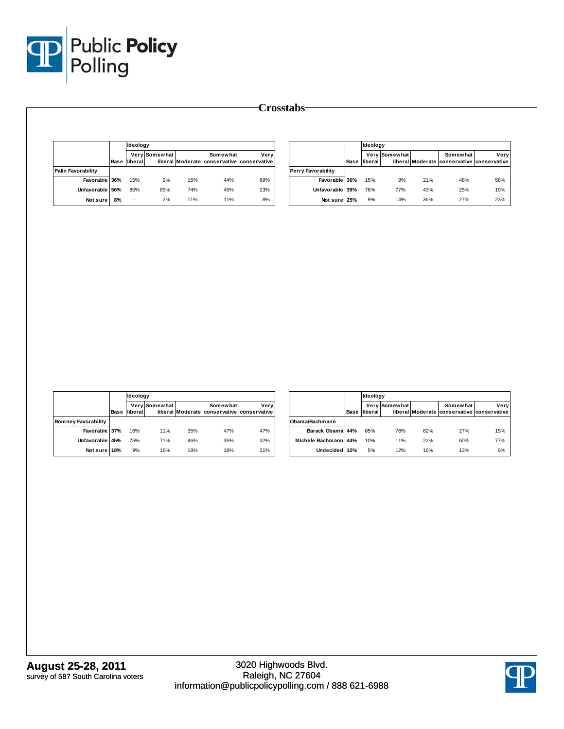

|                                             |      | Ideology |               |     |                                                        |      |                    |                  |      | Ideology         |                 |                  |                                            |      |
|---------------------------------------------|------|----------|---------------|-----|--------------------------------------------------------|------|--------------------|------------------|------|------------------|-----------------|------------------|--------------------------------------------|------|
|                                             | Base | liberal  | Very Somewhat |     | Somewhat<br>liberal Moderate conservative conservative | Very |                    |                  | Base | liberal          | Very Somewhat   | liberal Moderate | Somewhat<br>conservative conservative      | Very |
| <b>Palin Favorability</b>                   |      |          |               |     |                                                        |      | Perry Favorability |                  |      |                  |                 |                  |                                            |      |
| Favorable 36%                               |      | 15%      | 9%            | 15% | 44%                                                    | 69%  |                    | Favorable 36%    |      | 15%              | 9%              | 21%              | 48%                                        | 58%  |
| Unfavorable                                 | 56%  | 85%      | 89%           | 74% | 45%                                                    | 23%  |                    | Unfavorable 39%  |      | 76%              | 77%             | 43%              | 25%                                        | 19%  |
| Not sure                                    | 8%   | $\sim$   | 2%            | 11% | 11%                                                    | 8%   |                    | Not sure 25%     |      | $9\%$            | 14%             | 36%              | 27%                                        | 23%  |
|                                             |      |          |               |     |                                                        |      |                    |                  |      |                  |                 |                  |                                            |      |
|                                             |      |          |               |     |                                                        |      |                    |                  |      |                  |                 |                  |                                            |      |
|                                             |      |          |               |     |                                                        |      |                    |                  |      |                  |                 |                  |                                            |      |
|                                             |      | Ideology | Very Somewhat |     | Somewhat                                               | Very |                    |                  |      | Ideology<br>Very | <b>Somewhat</b> |                  | Somewhat                                   | Very |
|                                             | Base | liberal  |               |     | liberal Moderate conservative conservative             |      |                    |                  | Base | liberal          |                 |                  | liberal Moderate conservative conservative |      |
| <b>Romney Favorability</b><br>Favorable 37% |      | 16%      | 11%           | 35% | 47%                                                    | 47%  | Obama/Bachmann     | Barack Obama 44% |      | 85%              | 76%             | 62%              | 27%                                        | 15%  |

**Undecided**

**12%** 5% 12% 16% 13% 9%

**Crosstabs**

**Not sure**

**18%** 9% 18% 19% 18% 21%

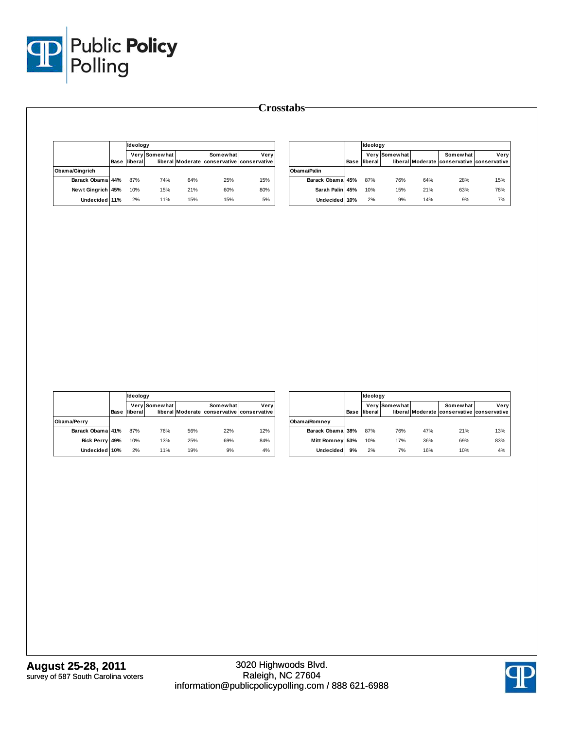

|                   |      | Ideoloav |                      |     |                                                        |      |  |  |
|-------------------|------|----------|----------------------|-----|--------------------------------------------------------|------|--|--|
|                   | Base | liberal  | <b>Very Somewhat</b> |     | Somewhat<br>liberal Moderate conservative conservative | Verv |  |  |
| Obama/Gingrich    |      |          |                      |     |                                                        |      |  |  |
| Barack Obama 44%  |      | 87%      | 74%                  | 64% | 25%                                                    | 15%  |  |  |
| Newt Gingrich 45% |      | 10%      | 15%                  | 21% | 60%                                                    | 80%  |  |  |
| Undecided 11%     |      | 2%       | 11%                  | 15% | 15%                                                    | 5%   |  |  |

|                  |      | Ideology |               |     |                                                        |      |  |  |
|------------------|------|----------|---------------|-----|--------------------------------------------------------|------|--|--|
|                  | Base | liberal  | Very Somewhat |     | Somewhat<br>liberal Moderate conservative conservative | Verv |  |  |
| Obam a/Palin     |      |          |               |     |                                                        |      |  |  |
| Barack Obama 45% |      | 87%      | 76%           | 64% | 28%                                                    | 15%  |  |  |
| Sarah Palin 45%  |      | 10%      | 15%           | 21% | 63%                                                    | 78%  |  |  |
| Undecided 10%    |      | 2%       | 9%            | 14% | 9%                                                     | 7%   |  |  |

|                  |      | Ideology |               |     |                                                        |      |  |  |
|------------------|------|----------|---------------|-----|--------------------------------------------------------|------|--|--|
|                  | Base | liberal  | Very Somewhat |     | Somewhat<br>liberal Moderate conservative conservative | Very |  |  |
| Obama/Perry      |      |          |               |     |                                                        |      |  |  |
| Barack Obama 41% |      | 87%      | 76%           | 56% | 22%                                                    | 12%  |  |  |
| Rick Perry 49%   |      | 10%      | 13%           | 25% | 69%                                                    | 84%  |  |  |
| Undecided 10%    |      | 2%       | 11%           | 19% | 9%                                                     | 4%   |  |  |

|                  |      | Ideology |               |     |                                                        |      |
|------------------|------|----------|---------------|-----|--------------------------------------------------------|------|
|                  | Base | liberal  | Very Somewhat |     | Somewhat<br>liberal Moderate conservative conservative | Very |
| Obama/Romney     |      |          |               |     |                                                        |      |
| Barack Obama 38% |      | 87%      | 76%           | 47% | 21%                                                    | 13%  |
| Mitt Romney 53%  |      | 10%      | 17%           | 36% | 69%                                                    | 83%  |
| <b>Undecided</b> | 9%   | 2%       | 7%            | 16% | 10%                                                    | 4%   |

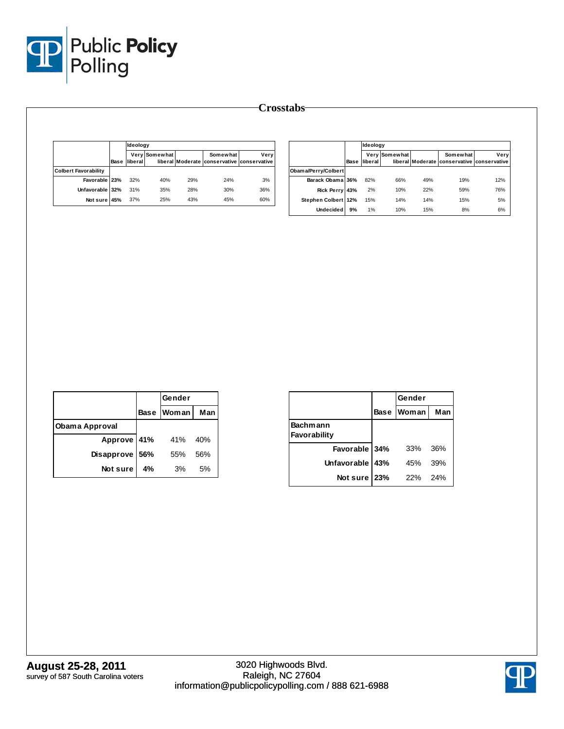

|                             |      | Ideology |               |     |                                                        |      |
|-----------------------------|------|----------|---------------|-----|--------------------------------------------------------|------|
|                             | Base | liberal  | Very Somewhat |     | Somewhat<br>liberal Moderate conservative conservative | Verv |
| <b>Colbert Favorability</b> |      |          |               |     |                                                        |      |
| Favorable 23%               |      | 32%      | 40%           | 29% | 24%                                                    | 3%   |
| Unfavorable 32%             |      | 31%      | 35%           | 28% | 30%                                                    | 36%  |
| Not sure 45%                |      | 37%      | 25%           | 43% | 45%                                                    | 60%  |

|                     |      |         |               |     |                                                        |      |  | Ideology |  |  |  |
|---------------------|------|---------|---------------|-----|--------------------------------------------------------|------|--|----------|--|--|--|
|                     | Base | liberal | Very Somewhat |     | Somewhat<br>liberal Moderate conservative conservative | Very |  |          |  |  |  |
| Obama/Perry/Colbert |      |         |               |     |                                                        |      |  |          |  |  |  |
| Barack Obama 36%    |      | 82%     | 66%           | 49% | 19%                                                    | 12%  |  |          |  |  |  |
| Rick Perry 43%      |      | 2%      | 10%           | 22% | 59%                                                    | 76%  |  |          |  |  |  |
| Stephen Colbert 12% |      | 15%     | 14%           | 14% | 15%                                                    | 5%   |  |          |  |  |  |
| <b>Undecided</b>    | 9%   | 1%      | 10%           | 15% | 8%                                                     | 6%   |  |          |  |  |  |

|                |     | Gender     |     |
|----------------|-----|------------|-----|
|                |     | Base Woman | Man |
| Obama Approval |     |            |     |
| Approve 41%    |     | 41%        | 40% |
| Disapprove     | 56% | 55%        | 56% |
| Not sure       | 4%  | 3%         | 5%  |

|                          |             | Gender |     |
|--------------------------|-------------|--------|-----|
|                          | <b>Base</b> | Woman  | Man |
| Bachmann<br>Favorability |             |        |     |
| Favorable 34%            |             | 33%    | 36% |
| Unfavorable 43%          |             | 45%    | 39% |
| Not sure                 | 23%         | 22%    | 24% |

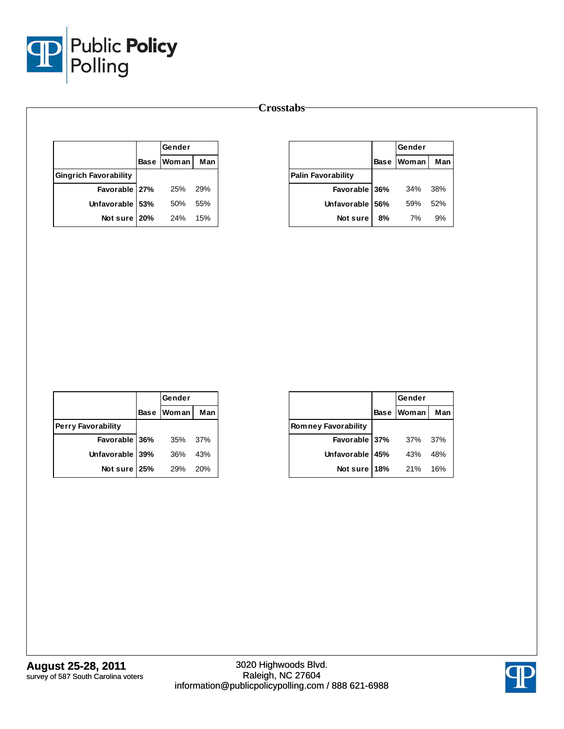

|                              | Gender     |     |
|------------------------------|------------|-----|
|                              | Base Woman | Man |
| <b>Gingrich Favorability</b> |            |     |
| Favorable 27%                | 25%        | 29% |
| Unfavorable 53%              | 50%        | 55% |
| Not sure 20%                 | 24%        | 15% |

|                           |    | Gender     |     |
|---------------------------|----|------------|-----|
|                           |    | Base Woman | Man |
| <b>Palin Favorability</b> |    |            |     |
| Favorable 36%             |    | 34%        | 38% |
| Unfavorable 56%           |    | 59%        | 52% |
| Not sure                  | 8% | 7%         | 9%  |

|                           | Gender     |     |
|---------------------------|------------|-----|
|                           | Base Woman | Man |
| <b>Perry Favorability</b> |            |     |
| Favorable 36%             | 35%        | 37% |
| Unfavorable 39%           | 36%        | 43% |
| Not sure 25%              | 29%        | 20% |

|                            |             | Gender       |     |
|----------------------------|-------------|--------------|-----|
|                            | <b>Base</b> | <b>Woman</b> | Man |
| <b>Romney Favorability</b> |             |              |     |
| Favorable 37%              |             | 37%          | 37% |
| Unfavorable   45%          |             | 43%          | 48% |
| Not sure                   | <b>18%</b>  | 21%          | 16% |

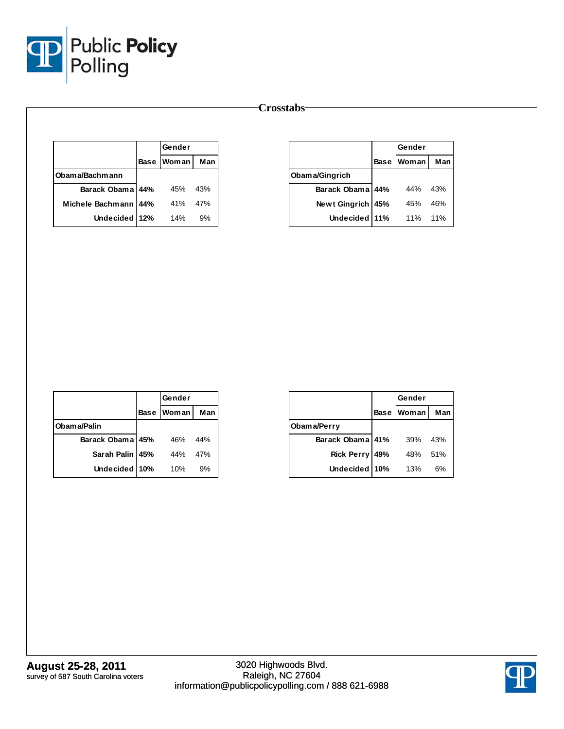

|                  |             | Gender       |     |
|------------------|-------------|--------------|-----|
|                  | <b>Base</b> | <b>Woman</b> | Man |
| Obama/Bachmann   |             |              |     |
| Barack Obama 44% |             | 45%          | 43% |
| Michele Bachmann | 44%         | 41%          | 47% |
| Undecided 12%    |             | 14%          | 9%  |

|                  |             | Gender |     |
|------------------|-------------|--------|-----|
|                  | <b>Base</b> | Woman  | Man |
| Obama/Gingrich   |             |        |     |
| Barack Obama 44% |             | 44%    | 43% |
| Newt Gingrich    | 45%         | 45%    | 46% |
| Undecided 11%    |             | 11%    | 11% |

|                  | Gender     |     |
|------------------|------------|-----|
|                  | Base Woman | Man |
| Obama/Palin      |            |     |
| Barack Obama 45% | 46%        | 44% |
| Sarah Palin 45%  | 44%        | 47% |
| Undecided 10%    | 10%        | 9%  |

|                   |             | Gender |     |
|-------------------|-------------|--------|-----|
|                   | <b>Base</b> | Woman  | Man |
| Obama/Perry       |             |        |     |
| Barack Obama 41%  |             | 39%    | 43% |
| <b>Rick Perry</b> | 49%         | 48%    | 51% |
| <b>Undecided</b>  | 10%         | 13%    | 6%  |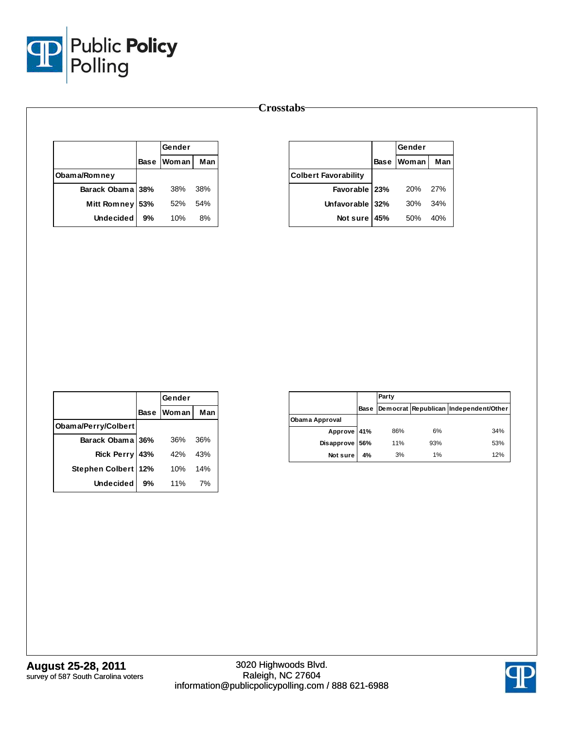

|                    |     | Gender            |     |
|--------------------|-----|-------------------|-----|
|                    |     | <b>Base Woman</b> | Man |
| Obama/Romney       |     |                   |     |
| Barack Obama 38%   |     | 38%               | 38% |
| <b>Mitt Romney</b> | 53% | 52%               | 54% |
| <b>Undecided</b>   | 9%  | 10%               | 8%  |

|                             |            | Gender       |     |  |
|-----------------------------|------------|--------------|-----|--|
|                             |            | Base   Woman | Man |  |
| <b>Colbert Favorability</b> |            |              |     |  |
| Favorable   23%             |            | 20%          | 27% |  |
| Unfavorable 32%             |            | 30%          | 34% |  |
| Not sure                    | <b>45%</b> | 50%          | 40% |  |

|                     |      | Gender |     |
|---------------------|------|--------|-----|
|                     | Base | Woman  | Man |
| Obama/Perry/Colbert |      |        |     |
| Barack Obama 36%    |      | 36%    | 36% |
| <b>Rick Perry</b>   | 43%  | 42%    | 43% |
| Stephen Colbert     | 12%  | 10%    | 14% |
| Undecided           | 9%   | 11%    | 7%  |

|                   |      | Party |     |                                       |
|-------------------|------|-------|-----|---------------------------------------|
|                   | Base |       |     | Democrat Republican Independent/Other |
| Obama Approval    |      |       |     |                                       |
| Approve 41%       |      | 86%   | 6%  | 34%                                   |
| <b>Disapprove</b> | 56%  | 11%   | 93% | 53%                                   |
| Not sure          | 4%   | 3%    | 1%  | 12%                                   |

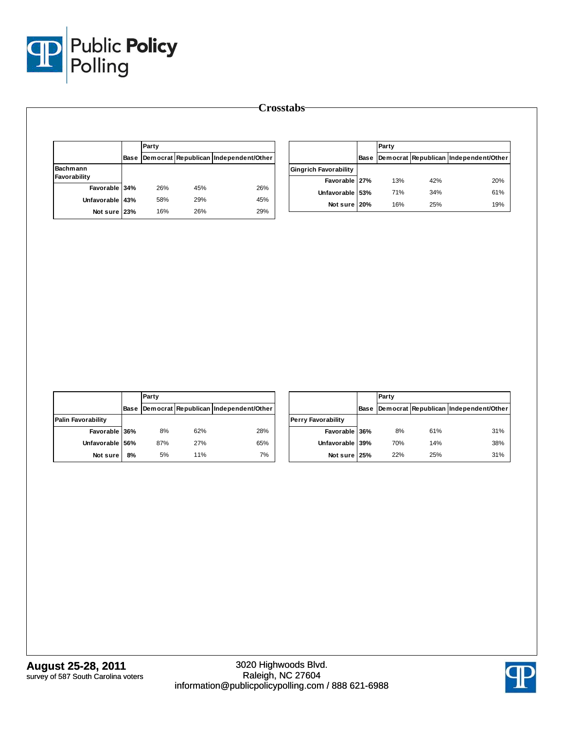

|                 |      | Party |     |                                       |                              |      | Party |     |                                       |
|-----------------|------|-------|-----|---------------------------------------|------------------------------|------|-------|-----|---------------------------------------|
|                 | Base |       |     | Democrat Republican Independent/Other |                              | Base |       |     | Democrat Republican Independent/Other |
| Bachmann        |      |       |     |                                       | <b>Gingrich Favorability</b> |      |       |     |                                       |
| Favorability    |      |       |     |                                       | Favorable 27%                |      | 13%   | 42% | 20%                                   |
| Favorable 34%   |      | 26%   | 45% | 26%                                   | Unfavorable 53%              |      | 71%   | 34% | 61%                                   |
| Unfavorable 43% |      | 58%   | 29% | 45%                                   | Not sure 20%                 |      | 16%   | 25% | 19%                                   |
| Not sure 23%    |      | 16%   | 26% | 29%                                   |                              |      |       |     |                                       |

|                           |      | Party |     |                                       |
|---------------------------|------|-------|-----|---------------------------------------|
|                           | Base |       |     | Democrat Republican Independent/Other |
| <b>Palin Favorability</b> |      |       |     |                                       |
| Favorable 36%             |      | 8%    | 62% | 28%                                   |
| Unfavorable               | 56%  | 87%   | 27% | 65%                                   |
| Not sure                  | 8%   | 5%    | 11% | 7%                                    |

|                           |      | Party |     |                                       |
|---------------------------|------|-------|-----|---------------------------------------|
|                           | Base |       |     | Democrat Republican Independent/Other |
| <b>Perry Favorability</b> |      |       |     |                                       |
| Favorable 36%             |      | 8%    | 61% | 31%                                   |
| Unfavorable 39%           |      | 70%   | 14% | 38%                                   |
| Not sure 25%              |      | 22%   | 25% | 31%                                   |

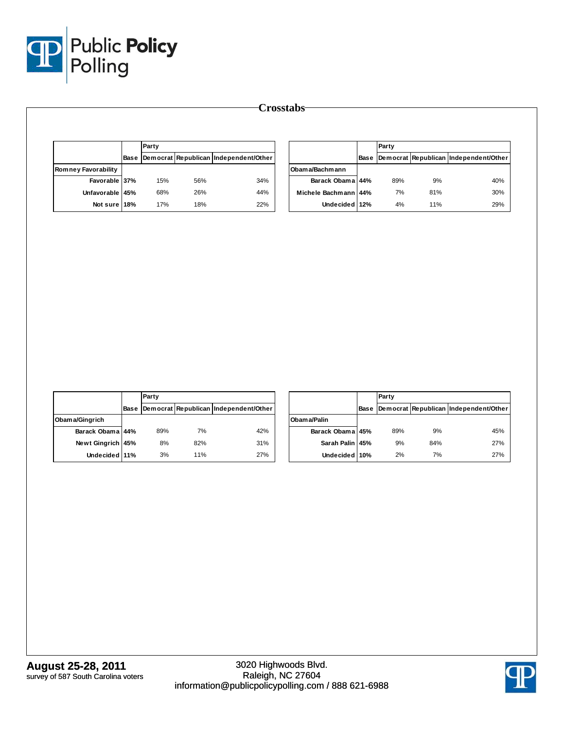

|                            |      | Party |     |                                       |                      | Party |     |                                            |  |
|----------------------------|------|-------|-----|---------------------------------------|----------------------|-------|-----|--------------------------------------------|--|
|                            | Base |       |     | Democrat Republican Independent/Other |                      |       |     | Base Democrat Republican Independent/Other |  |
| <b>Romney Favorability</b> |      |       |     |                                       | Obama/Bachmann       |       |     |                                            |  |
| Favorable 37%              |      | 15%   | 56% | 34%                                   | Barack Obama 44%     | 89%   | 9%  | 40%                                        |  |
| Unfavorable 45%            |      | 68%   | 26% | 44%                                   | Michele Bachmann 44% | 7%    | 81% | 30%                                        |  |
| Not sure 18%               |      | 17%   | 18% | 22%                                   | Undecided 12%        | 4%    | 11% | 29%                                        |  |

|                   |      | Party |     |                                       |
|-------------------|------|-------|-----|---------------------------------------|
|                   | Base |       |     | Democrat Republican Independent/Other |
| Obama/Gingrich    |      |       |     |                                       |
| Barack Obama 44%  |      | 89%   | 7%  | 42%                                   |
| Newt Gingrich 45% |      | 8%    | 82% | 31%                                   |
| Undecided 11%     |      | 3%    | 11% | 27%                                   |

|                  |      | Party |     |                                       |
|------------------|------|-------|-----|---------------------------------------|
|                  | Base |       |     | Democrat Republican Independent/Other |
| Obama/Palin      |      |       |     |                                       |
| Barack Obama 45% |      | 89%   | 9%  | 45%                                   |
| Sarah Palin 45%  |      | 9%    | 84% | 27%                                   |
| Undecided 10%    |      | 2%    | 7%  | 27%                                   |

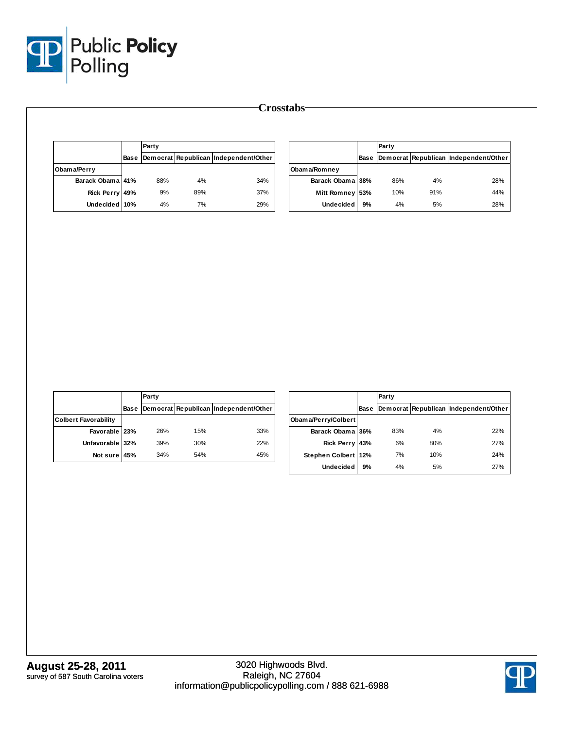

|                  |      | Party |     |                                       |                  |    | Party |     |                                            |
|------------------|------|-------|-----|---------------------------------------|------------------|----|-------|-----|--------------------------------------------|
|                  | Base |       |     | Democrat Republican Independent/Other |                  |    |       |     | Base Democrat Republican Independent/Other |
| Obama/Perry      |      |       |     |                                       | Obama/Romney     |    |       |     |                                            |
| Barack Obama 41% |      | 88%   | 4%  | 34%                                   | Barack Obama 38% |    | 86%   | 4%  | 28%                                        |
| Rick Perry 49%   |      | 9%    | 89% | 37%                                   | Mitt Romney 53%  |    | 10%   | 91% | 44%                                        |
| Undecided 10%    |      | 4%    | 7%  | 29%                                   | <b>Undecided</b> | 9% | 4%    | 5%  | 28%                                        |

|                             |             | Party |     |                                       |  |  |  |
|-----------------------------|-------------|-------|-----|---------------------------------------|--|--|--|
|                             | <b>Base</b> |       |     | Democrat Republican Independent/Other |  |  |  |
| <b>Colbert Favorability</b> |             |       |     |                                       |  |  |  |
| Favorable 23%               |             | 26%   | 15% | 33%                                   |  |  |  |
| Unfavorable 32%             |             | 39%   | 30% | 22%                                   |  |  |  |
| Not sure                    | 45%         | 34%   | 54% | 45%                                   |  |  |  |

|                     |      | Party |     |                                       |  |  |  |
|---------------------|------|-------|-----|---------------------------------------|--|--|--|
|                     | Base |       |     | Democrat Republican Independent/Other |  |  |  |
| Obama/Perry/Colbert |      |       |     |                                       |  |  |  |
| Barack Obama 36%    |      | 83%   | 4%  | 22%                                   |  |  |  |
| Rick Perry 43%      |      | 6%    | 80% | 27%                                   |  |  |  |
| Stephen Colbert 12% |      | 7%    | 10% | 24%                                   |  |  |  |
| <b>Undecided</b>    | 9%   | 4%    | 5%  | 27%                                   |  |  |  |

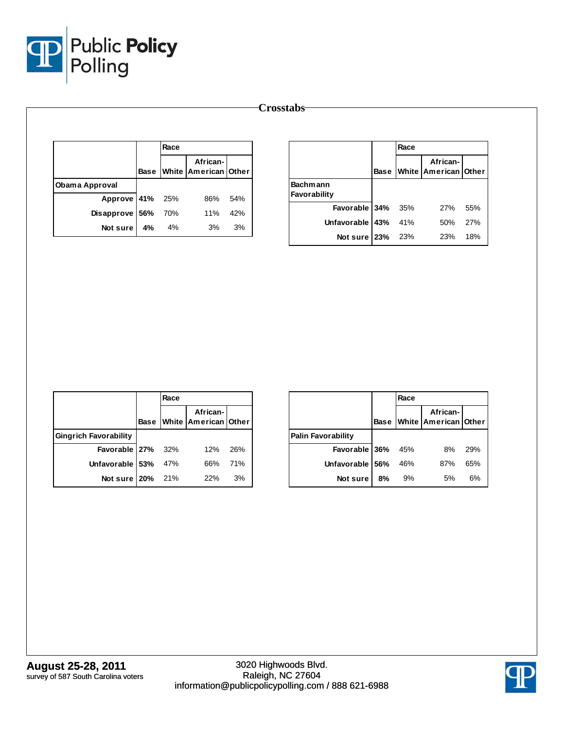

|                |      |      |                                  |     | <b>Crosstabs</b> |                    |             |
|----------------|------|------|----------------------------------|-----|------------------|--------------------|-------------|
|                |      | Race |                                  |     |                  |                    |             |
|                | Base |      | African-<br>White American Other |     |                  |                    | <b>Base</b> |
| Obama Approval |      |      |                                  |     |                  | <b>Bachmann</b>    |             |
| Approve 41%    |      | 25%  | 86%                              | 54% |                  | Favorability       |             |
| Disapprove 56% |      | 70%  | 11%                              | 42% |                  | Favorable          | 34%         |
| Not sure       | 4%   | 4%   | 3%                               | 3%  |                  | <b>Unfavorable</b> | 43%         |
|                |      |      |                                  |     |                  | Not sure 23%       |             |

|                                 |             | Race |                                         |     |
|---------------------------------|-------------|------|-----------------------------------------|-----|
|                                 | <b>Base</b> |      | African-<br><b>White American Other</b> |     |
| <b>Bachmann</b><br>Favorability |             |      |                                         |     |
| Favorable 34% 35%               |             |      | 27%                                     | 55% |
| Unfavorable 43% 41%             |             |      | 50%                                     | 27% |
| Not sure   23% 23%              |             |      | 23%                                     | 18% |

|                              | Race |                                       |     |
|------------------------------|------|---------------------------------------|-----|
|                              |      | African-<br>Base White American Other |     |
| <b>Gingrich Favorability</b> |      |                                       |     |
| Favorable $27\%$ 32%         |      | 12%                                   | 26% |
| Unfavorable 53% 47%          |      | 66%                                   | 71% |
| Not sure   20% 21%           |      | 22%                                   | 3%  |

|                    |             | Race |                                  |     |
|--------------------|-------------|------|----------------------------------|-----|
|                    | <b>Base</b> |      | African-<br>White American Other |     |
| Palin Favorability |             |      |                                  |     |
| Favorable 36%      |             | 45%  | 8%                               | 29% |
| Unfavorable 56%    |             | 46%  | 87%                              | 65% |
| Not sure           | 8%          | 9%   | 5%                               | 6%  |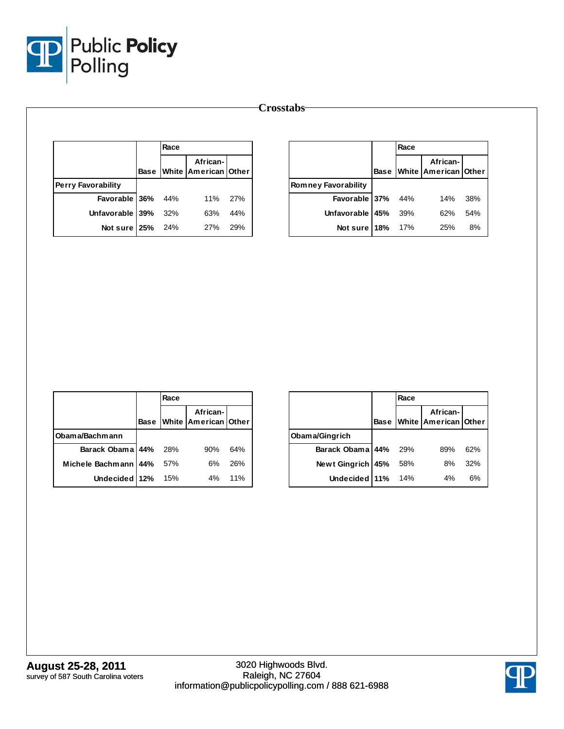

|                           |             | Race |                                  |     |                            |             | Race |                                  |
|---------------------------|-------------|------|----------------------------------|-----|----------------------------|-------------|------|----------------------------------|
|                           | <b>Base</b> |      | African-<br>White American Other |     |                            | <b>Base</b> |      | African-<br>White American Other |
| <b>Perry Favorability</b> |             |      |                                  |     | <b>Romney Favorability</b> |             |      |                                  |
| Favorable 36%             |             | 44%  | 11%                              | 27% | Favorable 37%              |             | 44%  | 14%                              |
| Unfavorable 39%           |             | 32%  | 63%                              | 44% | Unfavorable 45%            |             | 39%  | 62%                              |
| Not sure $25%$            |             | 24%  | 27%                              | 29% | Not sure 18%               |             | 17%  | 25%                              |

|                      |             | Race |                                  |     |
|----------------------|-------------|------|----------------------------------|-----|
|                      | <b>Base</b> |      | African-<br>White American Other |     |
| Obama/Bachmann       |             |      |                                  |     |
| Barack Obama 44% 28% |             |      | 90%                              | 64% |
| Michele Bachmann 44% |             | 57%  | 6%                               | 26% |
| Undecided 12%        |             | 15%  | $4\%$                            | 11% |

|                   |             | Race       |                                  |     |
|-------------------|-------------|------------|----------------------------------|-----|
|                   | <b>Base</b> |            | African-<br>White American Other |     |
| Obama/Gingrich    |             |            |                                  |     |
| Barack Obama 44%  |             | <b>29%</b> | 89%                              | 62% |
| Newt Gingrich 45% |             | 58%        | 8%                               | 32% |
| Undecided 11%     |             | 14%        | 4%                               | 6%  |



**August 25-28, 2011** survey of 587 South Carolina voters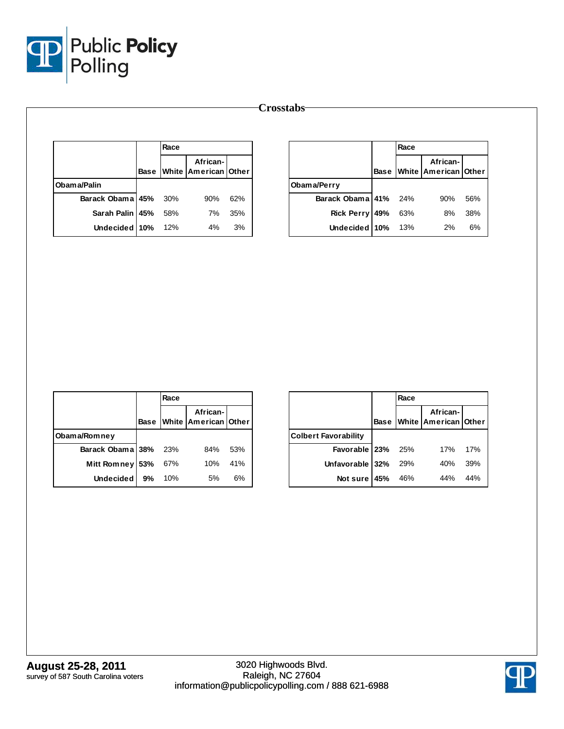

|                  |             |      |                                      |     | <b>Crosstabs</b>  |      |  |
|------------------|-------------|------|--------------------------------------|-----|-------------------|------|--|
|                  |             | Race |                                      |     |                   |      |  |
|                  | <b>Base</b> |      | African-<br>White   American   Other |     |                   | Base |  |
| Obama/Palin      |             |      |                                      |     | Obama/Perry       |      |  |
| Barack Obama 45% |             | 30%  | 90%                                  | 62% | Barack Obama 41%  |      |  |
| Sarah Palin 45%  |             | 58%  | 7%                                   | 35% | <b>Rick Perry</b> | 49%  |  |
| Undecided 10%    |             | 12%  | 4%                                   | 3%  | <b>Undecided</b>  | 10%  |  |

|                      |             | Race |                                        |     |
|----------------------|-------------|------|----------------------------------------|-----|
|                      | <b>Base</b> |      | White African-<br>White American Other |     |
| Obama/Perry          |             |      |                                        |     |
| Barack Obama 41% 24% |             |      | 90%                                    | 56% |
| Rick Perry 49%       |             | 63%  | 8%                                     | 38% |
| Undecided 10% 13%    |             |      | 2%                                     | 6%  |

|                      |             | Race |                                  |     |
|----------------------|-------------|------|----------------------------------|-----|
|                      | <b>Base</b> |      | African-<br>White American Other |     |
| Obama/Romney         |             |      |                                  |     |
| Barack Obama 38% 23% |             |      | 84%                              | 53% |
| Mitt Romney 53%      |             | 67%  | 10%                              | 41% |
| <b>Undecided</b>     | 9%          | 10%  | 5%                               | 6%  |

|                             |             | Race |                                         |     |
|-----------------------------|-------------|------|-----------------------------------------|-----|
|                             | <b>Base</b> |      | African-<br><b>White American Other</b> |     |
| <b>Colbert Favorability</b> |             |      |                                         |     |
| Favorable   23%             |             | 25%  | 17%                                     | 17% |
| Unfavorable 32%             |             | 29%  | 40%                                     | 39% |
| Not sure $45%$              |             | 46%  | 44%                                     | 44% |

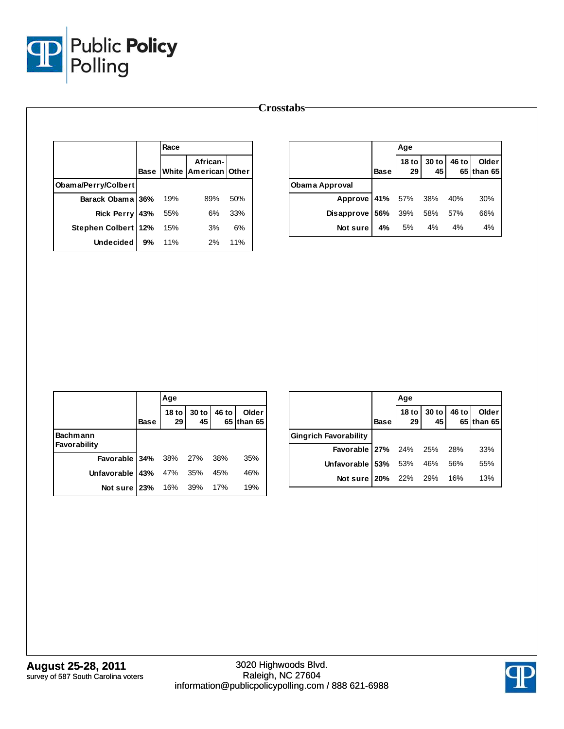

|                       |             | Race |                                  |     |  |  |  |  |
|-----------------------|-------------|------|----------------------------------|-----|--|--|--|--|
|                       | <b>Base</b> |      | African-<br>White American Other |     |  |  |  |  |
| Obama/Perry/Colbert   |             |      |                                  |     |  |  |  |  |
| Barack Obama 36%      |             | 19%  | 89%                              | 50% |  |  |  |  |
| <b>Rick Perry</b>     | 43%         | 55%  | 6%                               | 33% |  |  |  |  |
| Stephen Colbert   12% |             | 15%  | 3%                               | 6%  |  |  |  |  |
| Undecided             | 9%          | 11%  | 2%                               | 11% |  |  |  |  |

|                            |             | Age |  |                                               |
|----------------------------|-------------|-----|--|-----------------------------------------------|
|                            | <b>Base</b> |     |  | 18 to 30 to 46 to Older  <br>29 45 65 than 65 |
| Obama Approval             |             |     |  |                                               |
| Approve 41% 57% 38% 40%    |             |     |  | 30%                                           |
| Disapprove 56% 39% 58% 57% |             |     |  | 66%                                           |
| Not sure 4% 5% 4% 4%       |             |     |  | 4%                                            |

|                                 |             | Age                 |               |       |                     |
|---------------------------------|-------------|---------------------|---------------|-------|---------------------|
|                                 | <b>Base</b> | 18 to $\vert$<br>29 | $30$ to<br>45 | 46 to | Older<br>65 than 65 |
| <b>Bachmann</b><br>Favorability |             |                     |               |       |                     |
| <b>Favorable 34%</b> 38% 27%    |             |                     |               | 38%   | 35%                 |
| Unfavorable                     | 43%         | 47% 35%             |               | 45%   | 46%                 |
| Not sure 23%                    |             | 16% 39%             |               | 17%   | 19%                 |

|                                  |             | Age             |                          |       |                     |
|----------------------------------|-------------|-----------------|--------------------------|-------|---------------------|
|                                  | <b>Base</b> | 29 <sub>l</sub> | 18 to 30 to 46 to<br>451 |       | Older<br>65 than 65 |
| <b>Gingrich Favorability</b>     |             |                 |                          |       |                     |
| <b>Favorable 27%</b> 24% 25% 28% |             |                 |                          |       | 33%                 |
| Unfavorable 53% 53% 46%          |             |                 |                          | - 56% | 55%                 |
| Not sure 20% 22% 29% 16%         |             |                 |                          |       | 13%                 |

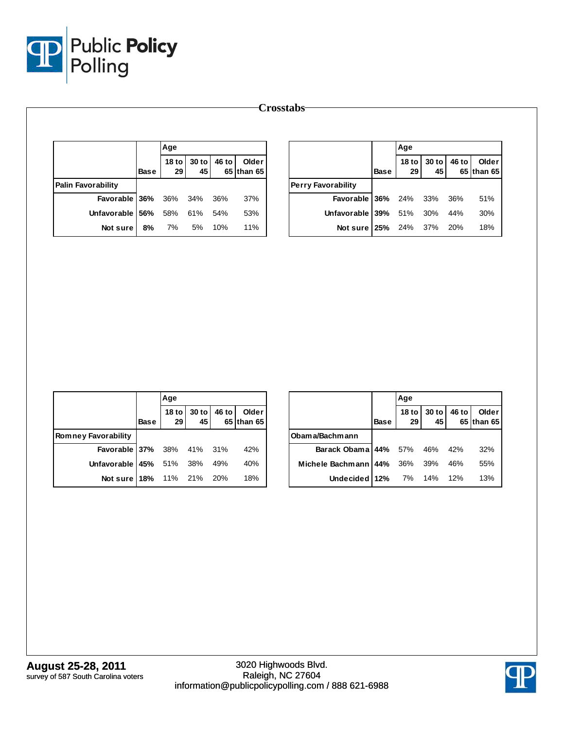

| $30$ to<br>46 to<br>Older<br>18 <sub>to</sub><br>65 than 65<br>29<br>45<br><b>Base</b><br><b>Palin Favorability</b><br><b>Perry Favorability</b> | <b>Base</b>   | 18 to $\vert$ | 30 to |       |                     |
|--------------------------------------------------------------------------------------------------------------------------------------------------|---------------|---------------|-------|-------|---------------------|
|                                                                                                                                                  |               | 29            | 45    | 46 to | Older<br>65 than 65 |
|                                                                                                                                                  |               |               |       |       |                     |
| Favorable 36%<br>36%<br>34%<br>36%<br>37%                                                                                                        | Favorable 36% | 24%           | 33%   | 36%   | 51%                 |
| 61%<br>53%<br>Unfavorable 56%<br>58%<br>54%<br>Unfavorable 39%                                                                                   |               | 51%           | 30%   | 44%   | 30%                 |
| 11%<br>7%<br>5%<br>10%<br>8%<br>Not sure                                                                                                         | Not sure 25%  | 24%           | 37%   | 20%   | 18%                 |

|                                    |             | Age |  |                                             |
|------------------------------------|-------------|-----|--|---------------------------------------------|
|                                    | <b>Base</b> |     |  | 18 to 30 to 46 to Older<br>29 45 65 than 65 |
| <b>Romney Favorability</b>         |             |     |  |                                             |
| <b>Favorable 37%</b> 38% 41% 31%   |             |     |  | 42%                                         |
| <b>Unfavorable 45%</b> 51% 38% 49% |             |     |  | 40%                                         |
| <b>Not sure 18%</b> 11% 21% 20%    |             |     |  | 18%                                         |

|                                    |             | Age                    |                 |       |                     |
|------------------------------------|-------------|------------------------|-----------------|-------|---------------------|
|                                    | <b>Base</b> | 18 <sub>to</sub><br>29 | $30$ to<br>$45$ | 46 to | Older<br>65 than 65 |
| Obama/Bachmann                     |             |                        |                 |       |                     |
| Barack Obama 44% 57% 46% 42%       |             |                        |                 |       | 32%                 |
| Michele Bachmann   44% 36% 39% 46% |             |                        |                 |       | 55%                 |
| Undecided 12% 7% 14% 12%           |             |                        |                 |       | 13%                 |

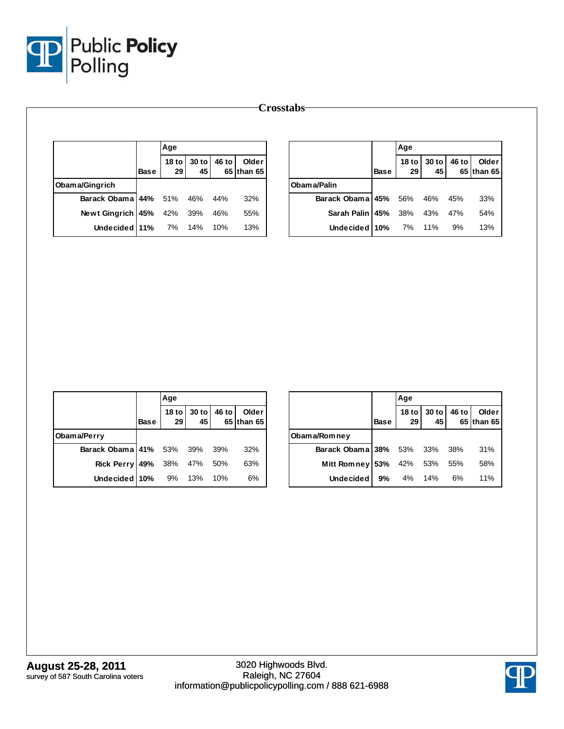

|                   |             | Age                    |             |       |                     |                  |             | Age                    |             |       |                     |
|-------------------|-------------|------------------------|-------------|-------|---------------------|------------------|-------------|------------------------|-------------|-------|---------------------|
|                   | <b>Base</b> | 18 <sub>to</sub><br>29 | 30 to<br>45 | 46 to | Older<br>65 than 65 |                  | <b>Base</b> | 18 <sub>to</sub><br>29 | 30 to<br>45 | 46 to | Older<br>65 than 65 |
| Obama/Gingrich    |             |                        |             |       |                     | Obama/Palin      |             |                        |             |       |                     |
| Barack Obama 44%  |             | 51%                    | 46%         | 44%   | 32%                 | Barack Obama 45% |             | 56%                    | 46%         | 45%   | 33%                 |
| Newt Gingrich 45% |             | 42%                    | 39%         | 46%   | 55%                 | Sarah Palin 45%  |             | 38%                    | 43%         | 47%   | 54%                 |
| Undecided 11%     |             | 7%                     | 14%         | 10%   | 13%                 | Undecided   10%  |             | 7%                     | 11%         | 9%    | 13%                 |

|                              |             | Age |                            |     |                     |
|------------------------------|-------------|-----|----------------------------|-----|---------------------|
|                              | <b>Base</b> |     | 18 to 30 to 46 to 29 45 65 |     | Older<br>65 than 65 |
| Obama/Perry                  |             |     |                            |     |                     |
| Barack Obama 41% 53% 39% 39% |             |     |                            |     | 32%                 |
| Rick Perry 49% 38% 47% 50%   |             |     |                            |     | 63%                 |
| Undecided $10\%$ 9% 13%      |             |     |                            | 10% | 6%                  |

|                              |             | Age         |                   |       |                     |
|------------------------------|-------------|-------------|-------------------|-------|---------------------|
|                              | <b>Base</b> | 29          | 18 to 30 to<br>45 | 46 to | Older<br>65 than 65 |
| Obama/Romney                 |             |             |                   |       |                     |
| Barack Obama 38% 53% 33% 38% |             |             |                   |       | 31%                 |
| <b>Mitt Romney</b>           | <b>53%</b>  | 42% 53% 55% |                   |       | 58%                 |
| <b>Undecided</b>             | 9%          | 4% 14%      |                   | 6%    | 11%                 |